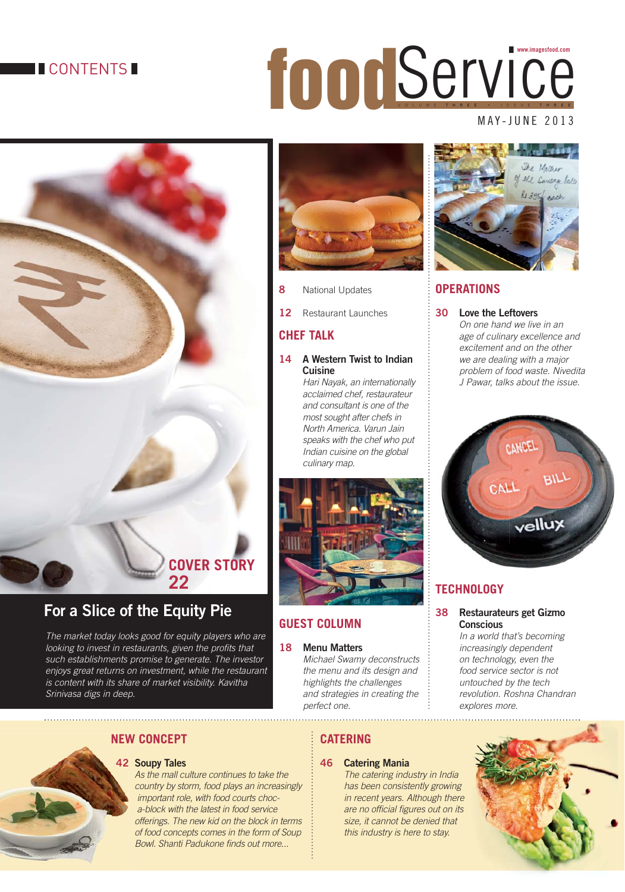### **TICONTENTS**

## food.com **www.imagesfood.com**

#### MAY-JUNE 2013



## **For a Slice of the Equity Pie**

The market today looks good for equity players who are looking to invest in restaurants, given the profits that such establishments promise to generate. The investor enjoys great returns on investment, while the restaurant is content with its share of market visibility. Kavitha Srinivasa digs in deep.



**8** National Updates

**12** Restaurant Launches

#### **CHEF TALK**

#### **14 A Western Twist to Indian Cuisine**

 Hari Nayak, an internationally acclaimed chef, restaurateur and consultant is one of the most sought after chefs in North America. Varun Jain speaks with the chef who put Indian cuisine on the global culinary map.



#### **18 Menu Matters**

Michael Swamy deconstructs the menu and its design and highlights the challenges and strategies in creating the perfect one.

#### **NEW CONCEPT NEW**

#### **42 Soupy Tales 42**

 As the mall culture continues to take the country by storm, food plays an increasingly important role, with food courts choca-block with the latest in food service offerings. The new kid on the block in terms of food concepts comes in the form of Soup Bowl. Shanti Padukone finds out more...

# Causas Joll each

#### **OPERATIONS**

#### **30 Love the Leftovers**

On one hand we live in an age of culinary excellence and excitement and on the other we are dealing with a major problem of food waste. Nivedita J Pawar, talks about the issue.



#### **TECHNOLOGY**

#### **38 Restaurateurs get Gizmo Conscious**

 In a world that's becoming increasingly dependent on technology, even the food service sector is not untouched by the tech revolution. Roshna Chandran explores more.

## **CATERING**

#### **46 Catering Mania**

 The catering industry in India has been consistently growing in recent years. Although there are no official figures out on its size, it cannot be denied that this industry is here to stay.